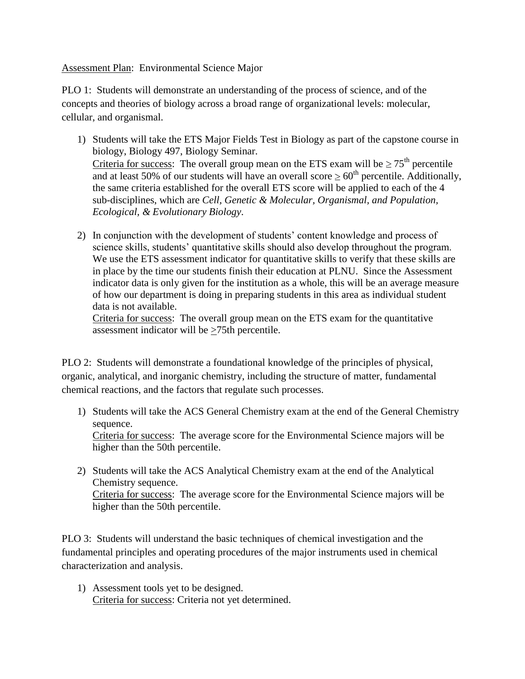Assessment Plan: Environmental Science Major

PLO 1: Students will demonstrate an understanding of the process of science, and of the concepts and theories of biology across a broad range of organizational levels: molecular, cellular, and organismal.

- 1) Students will take the ETS Major Fields Test in Biology as part of the capstone course in biology, Biology 497, Biology Seminar. Criteria for success: The overall group mean on the ETS exam will be  $\geq 75^{\text{th}}$  percentile and at least 50% of our students will have an overall score  $\geq 60^{th}$  percentile. Additionally, the same criteria established for the overall ETS score will be applied to each of the 4 sub-disciplines, which are *Cell, Genetic & Molecular, Organismal, and Population, Ecological, & Evolutionary Biology*.
- 2) In conjunction with the development of students' content knowledge and process of science skills, students' quantitative skills should also develop throughout the program. We use the ETS assessment indicator for quantitative skills to verify that these skills are in place by the time our students finish their education at PLNU. Since the Assessment indicator data is only given for the institution as a whole, this will be an average measure of how our department is doing in preparing students in this area as individual student data is not available.

Criteria for success: The overall group mean on the ETS exam for the quantitative assessment indicator will be >75th percentile.

PLO 2: Students will demonstrate a foundational knowledge of the principles of physical, organic, analytical, and inorganic chemistry, including the structure of matter, fundamental chemical reactions, and the factors that regulate such processes.

- 1) Students will take the ACS General Chemistry exam at the end of the General Chemistry sequence. Criteria for success: The average score for the Environmental Science majors will be higher than the 50th percentile.
- 2) Students will take the ACS Analytical Chemistry exam at the end of the Analytical Chemistry sequence. Criteria for success: The average score for the Environmental Science majors will be higher than the 50th percentile.

PLO 3: Students will understand the basic techniques of chemical investigation and the fundamental principles and operating procedures of the major instruments used in chemical characterization and analysis.

1) Assessment tools yet to be designed. Criteria for success: Criteria not yet determined.